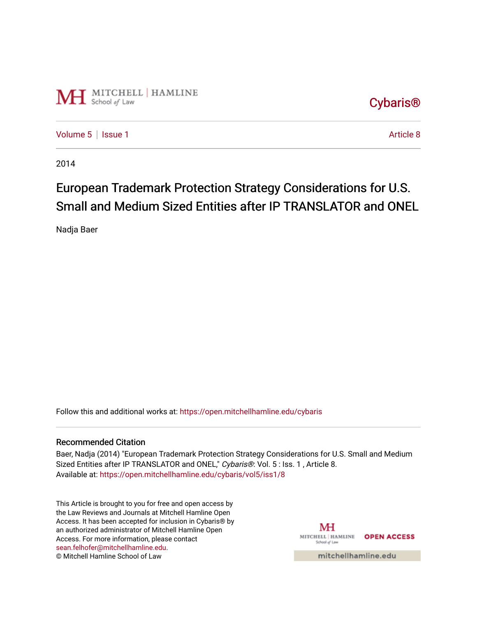

[Cybaris®](https://open.mitchellhamline.edu/cybaris) 

[Volume 5](https://open.mitchellhamline.edu/cybaris/vol5) | [Issue 1](https://open.mitchellhamline.edu/cybaris/vol5/iss1) Article 8

2014

# European Trademark Protection Strategy Considerations for U.S. Small and Medium Sized Entities after IP TRANSLATOR and ONEL

Nadja Baer

Follow this and additional works at: [https://open.mitchellhamline.edu/cybaris](https://open.mitchellhamline.edu/cybaris?utm_source=open.mitchellhamline.edu%2Fcybaris%2Fvol5%2Fiss1%2F8&utm_medium=PDF&utm_campaign=PDFCoverPages) 

## Recommended Citation

Baer, Nadja (2014) "European Trademark Protection Strategy Considerations for U.S. Small and Medium Sized Entities after IP TRANSLATOR and ONEL," Cybaris®: Vol. 5 : Iss. 1, Article 8. Available at: [https://open.mitchellhamline.edu/cybaris/vol5/iss1/8](https://open.mitchellhamline.edu/cybaris/vol5/iss1/8?utm_source=open.mitchellhamline.edu%2Fcybaris%2Fvol5%2Fiss1%2F8&utm_medium=PDF&utm_campaign=PDFCoverPages)

This Article is brought to you for free and open access by the Law Reviews and Journals at Mitchell Hamline Open Access. It has been accepted for inclusion in Cybaris® by an authorized administrator of Mitchell Hamline Open Access. For more information, please contact [sean.felhofer@mitchellhamline.edu](mailto:sean.felhofer@mitchellhamline.edu). © Mitchell Hamline School of Law

MH MITCHELL | HAMLINE OPEN ACCESS School of Law

mitchellhamline.edu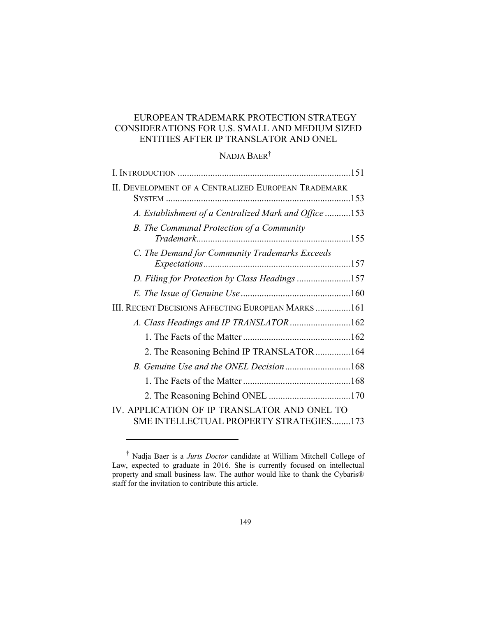# EUROPEAN TRADEMARK PROTECTION STRATEGY CONSIDERATIONS FOR U.S. SMALL AND MEDIUM SIZED ENTITIES AFTER IP TRANSLATOR AND ONEL

# NADJA BAER†

| II. DEVELOPMENT OF A CENTRALIZED EUROPEAN TRADEMARK                                     |  |
|-----------------------------------------------------------------------------------------|--|
| A. Establishment of a Centralized Mark and Office 153                                   |  |
| B. The Communal Protection of a Community<br>Trademark.                                 |  |
| C. The Demand for Community Trademarks Exceeds                                          |  |
| D. Filing for Protection by Class Headings 157                                          |  |
|                                                                                         |  |
| III. RECENT DECISIONS AFFECTING EUROPEAN MARKS161                                       |  |
| A. Class Headings and IP TRANSLATOR162                                                  |  |
|                                                                                         |  |
| 2. The Reasoning Behind IP TRANSLATOR 164                                               |  |
|                                                                                         |  |
|                                                                                         |  |
|                                                                                         |  |
| IV. APPLICATION OF IP TRANSLATOR AND ONEL TO<br>SME INTELLECTUAL PROPERTY STRATEGIES173 |  |

<sup>†</sup> Nadja Baer is a *Juris Doctor* candidate at William Mitchell College of Law, expected to graduate in 2016. She is currently focused on intellectual property and small business law. The author would like to thank the Cybaris® staff for the invitation to contribute this article.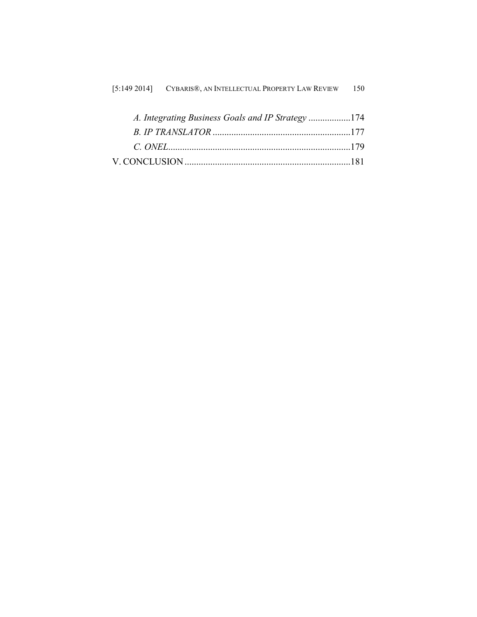| $[5:149\ 2014]$ | CYBARIS®, AN INTELLECTUAL PROPERTY LAW REVIEW | 150 |
|-----------------|-----------------------------------------------|-----|
|-----------------|-----------------------------------------------|-----|

| A. Integrating Business Goals and IP Strategy 174 |  |
|---------------------------------------------------|--|
|                                                   |  |
|                                                   |  |
|                                                   |  |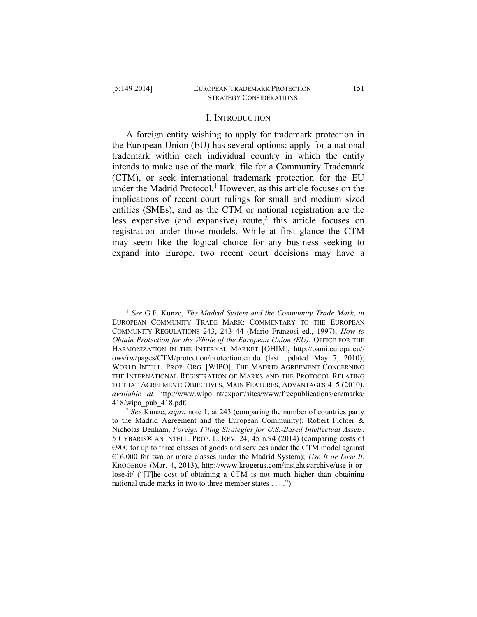$\overline{a}$ 

#### I. INTRODUCTION

A foreign entity wishing to apply for trademark protection in the European Union (EU) has several options: apply for a national trademark within each individual country in which the entity intends to make use of the mark, file for a Community Trademark (CTM), or seek international trademark protection for the EU under the Madrid Protocol.<sup>1</sup> However, as this article focuses on the implications of recent court rulings for small and medium sized entities (SMEs), and as the CTM or national registration are the less expensive (and expansive) route,<sup>2</sup> this article focuses on registration under those models. While at first glance the CTM may seem like the logical choice for any business seeking to expand into Europe, two recent court decisions may have a

<sup>1</sup> *See* G.F. Kunze, *The Madrid System and the Community Trade Mark, in*  EUROPEAN COMMUNITY TRADE MARK: COMMENTARY TO THE EUROPEAN COMMUNITY REGULATIONS 243, 243–44 (Mario Franzosi ed., 1997); *How to Obtain Protection for the Whole of the European Union (EU)*, OFFICE FOR THE HARMONIZATION IN THE INTERNAL MARKET [OHIM], http://oami.europa.eu// ows/rw/pages/CTM/protection/protection.en.do (last updated May 7, 2010); WORLD INTELL. PROP. ORG. [WIPO], THE MADRID AGREEMENT CONCERNING THE INTERNATIONAL REGISTRATION OF MARKS AND THE PROTOCOL RELATING TO THAT AGREEMENT: OBJECTIVES, MAIN FEATURES, ADVANTAGES 4–5 (2010), *available at* http://www.wipo.int/export/sites/www/freepublications/en/marks/ 418/wipo\_pub\_418.pdf.

<sup>2</sup> *See* Kunze, *supra* note 1, at 243 (comparing the number of countries party to the Madrid Agreement and the European Community); Robert Fichter & Nicholas Benham, *Foreign Filing Strategies for U.S.-Based Intellectual Assets*, 5 CYBARIS® AN INTELL. PROP. L. REV. 24, 45 n.94 (2014) (comparing costs of  $\epsilon$ 900 for up to three classes of goods and services under the CTM model against €16,000 for two or more classes under the Madrid System); *Use It or Lose It*, KROGERUS (Mar. 4, 2013), http://www.krogerus.com/insights/archive/use-it-orlose-it/ ("[T]he cost of obtaining a CTM is not much higher than obtaining national trade marks in two to three member states . . . .").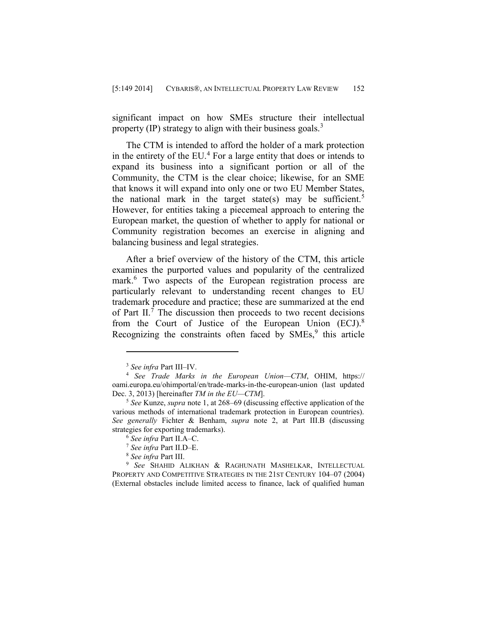significant impact on how SMEs structure their intellectual property  $(IP)$  strategy to align with their business goals.<sup>3</sup>

The CTM is intended to afford the holder of a mark protection in the entirety of the  $EU^4$ . For a large entity that does or intends to expand its business into a significant portion or all of the Community, the CTM is the clear choice; likewise, for an SME that knows it will expand into only one or two EU Member States, the national mark in the target state(s) may be sufficient.<sup>5</sup> However, for entities taking a piecemeal approach to entering the European market, the question of whether to apply for national or Community registration becomes an exercise in aligning and balancing business and legal strategies.

After a brief overview of the history of the CTM, this article examines the purported values and popularity of the centralized mark.<sup>6</sup> Two aspects of the European registration process are particularly relevant to understanding recent changes to EU trademark procedure and practice; these are summarized at the end of Part  $II$ .<sup>7</sup> The discussion then proceeds to two recent decisions from the Court of Justice of the European Union (ECJ).<sup>8</sup> Recognizing the constraints often faced by  $SMEs$ , this article

<sup>3</sup> *See infra* Part III–IV.

<sup>4</sup> *See Trade Marks in the European Union—CTM*, OHIM, https:// oami.europa.eu/ohimportal/en/trade-marks-in-the-european-union (last updated Dec. 3, 2013) [hereinafter *TM in the EU—CTM*].

<sup>5</sup> *See* Kunze, *supra* note 1, at 268–69 (discussing effective application of the various methods of international trademark protection in European countries). *See generally* Fichter & Benham, *supra* note 2, at Part III.B (discussing strategies for exporting trademarks).

<sup>6</sup> *See infra* Part II.A–C.

<sup>7</sup> *See infra* Part II.D–E.

<sup>8</sup> *See infra* Part III.

<sup>9</sup> *See* SHAHID ALIKHAN & RAGHUNATH MASHELKAR, INTELLECTUAL PROPERTY AND COMPETITIVE STRATEGIES IN THE 21ST CENTURY 104–07 (2004) (External obstacles include limited access to finance, lack of qualified human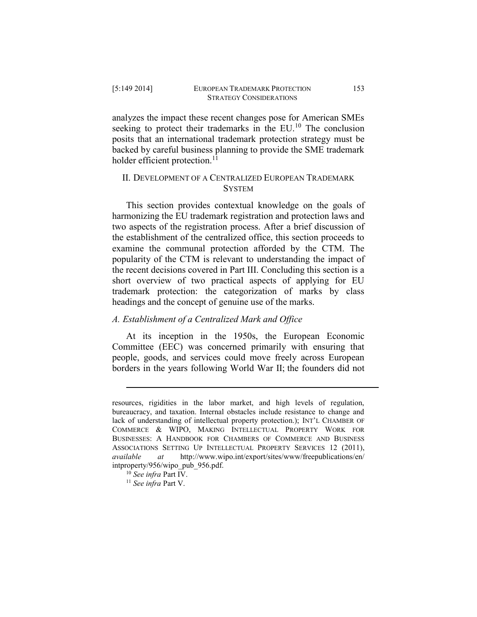analyzes the impact these recent changes pose for American SMEs seeking to protect their trademarks in the  $EU<sup>10</sup>$  The conclusion posits that an international trademark protection strategy must be backed by careful business planning to provide the SME trademark holder efficient protection.<sup>11</sup>

# II. DEVELOPMENT OF A CENTRALIZED EUROPEAN TRADEMARK **SYSTEM**

This section provides contextual knowledge on the goals of harmonizing the EU trademark registration and protection laws and two aspects of the registration process. After a brief discussion of the establishment of the centralized office, this section proceeds to examine the communal protection afforded by the CTM. The popularity of the CTM is relevant to understanding the impact of the recent decisions covered in Part III. Concluding this section is a short overview of two practical aspects of applying for EU trademark protection: the categorization of marks by class headings and the concept of genuine use of the marks.

# *A. Establishment of a Centralized Mark and Office*

At its inception in the 1950s, the European Economic Committee (EEC) was concerned primarily with ensuring that people, goods, and services could move freely across European borders in the years following World War II; the founders did not

resources, rigidities in the labor market, and high levels of regulation, bureaucracy, and taxation. Internal obstacles include resistance to change and lack of understanding of intellectual property protection.); INT'L CHAMBER OF COMMERCE & WIPO, MAKING INTELLECTUAL PROPERTY WORK FOR BUSINESSES: A HANDBOOK FOR CHAMBERS OF COMMERCE AND BUSINESS ASSOCIATIONS SETTING UP INTELLECTUAL PROPERTY SERVICES 12 (2011), *available at* http://www.wipo.int/export/sites/www/freepublications/en/ intproperty/956/wipo\_pub\_956.pdf.

<sup>10</sup> *See infra* Part IV.

<sup>11</sup> *See infra* Part V.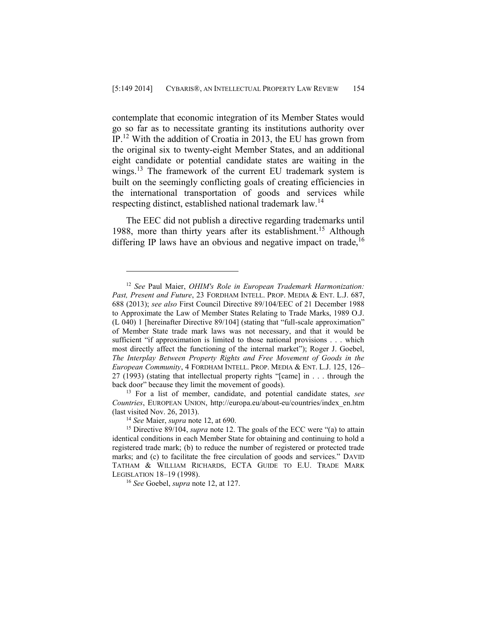contemplate that economic integration of its Member States would go so far as to necessitate granting its institutions authority over IP. <sup>12</sup> With the addition of Croatia in 2013, the EU has grown from the original six to twenty-eight Member States, and an additional eight candidate or potential candidate states are waiting in the wings.<sup>13</sup> The framework of the current EU trademark system is built on the seemingly conflicting goals of creating efficiencies in the international transportation of goods and services while respecting distinct, established national trademark law.<sup>14</sup>

The EEC did not publish a directive regarding trademarks until 1988, more than thirty years after its establishment. <sup>15</sup> Although differing IP laws have an obvious and negative impact on trade,  $16$ 

<sup>13</sup> For a list of member, candidate, and potential candidate states, *see Countries*, EUROPEAN UNION, http://europa.eu/about-eu/countries/index\_en.htm (last visited Nov. 26, 2013).

<sup>12</sup> *See* Paul Maier, *OHIM's Role in European Trademark Harmonization: Past, Present and Future*, 23 FORDHAM INTELL. PROP. MEDIA & ENT. L.J. 687, 688 (2013); *see also* First Council Directive 89/104/EEC of 21 December 1988 to Approximate the Law of Member States Relating to Trade Marks, 1989 O.J. (L 040) 1 [hereinafter Directive 89/104] (stating that "full-scale approximation" of Member State trade mark laws was not necessary, and that it would be sufficient "if approximation is limited to those national provisions . . . which most directly affect the functioning of the internal market"); Roger J. Goebel, *The Interplay Between Property Rights and Free Movement of Goods in the European Community*, 4 FORDHAM INTELL. PROP. MEDIA & ENT. L.J. 125, 126– 27 (1993) (stating that intellectual property rights "[came] in . . . through the back door" because they limit the movement of goods).

<sup>14</sup> *See* Maier, *supra* note 12, at 690.

<sup>&</sup>lt;sup>15</sup> Directive 89/104, *supra* note 12. The goals of the ECC were "(a) to attain identical conditions in each Member State for obtaining and continuing to hold a registered trade mark; (b) to reduce the number of registered or protected trade marks; and (c) to facilitate the free circulation of goods and services." DAVID TATHAM & WILLIAM RICHARDS, ECTA GUIDE TO E.U. TRADE MARK LEGISLATION 18–19 (1998).

<sup>16</sup> *See* Goebel, *supra* note 12, at 127.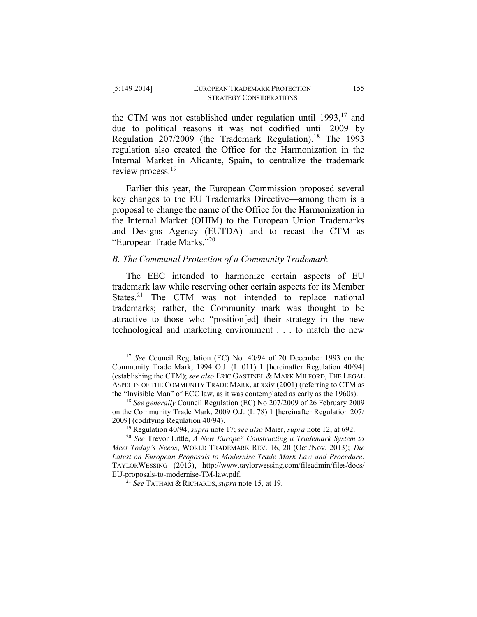$\overline{a}$ 

the CTM was not established under regulation until  $1993$ ,  $17$  and due to political reasons it was not codified until 2009 by Regulation  $207/2009$  (the Trademark Regulation).<sup>18</sup> The 1993 regulation also created the Office for the Harmonization in the Internal Market in Alicante, Spain, to centralize the trademark review process.<sup>19</sup>

Earlier this year, the European Commission proposed several key changes to the EU Trademarks Directive—among them is a proposal to change the name of the Office for the Harmonization in the Internal Market (OHIM) to the European Union Trademarks and Designs Agency (EUTDA) and to recast the CTM as "European Trade Marks."<sup>20</sup>

## *B. The Communal Protection of a Community Trademark*

The EEC intended to harmonize certain aspects of EU trademark law while reserving other certain aspects for its Member States.<sup>21</sup> The CTM was not intended to replace national trademarks; rather, the Community mark was thought to be attractive to those who "position[ed] their strategy in the new technological and marketing environment . . . to match the new

<sup>17</sup> *See* Council Regulation (EC) No. 40/94 of 20 December 1993 on the Community Trade Mark, 1994 O.J. (L 011) 1 [hereinafter Regulation 40/94] (establishing the CTM); *see also* ERIC GASTINEL & MARK MILFORD, THE LEGAL ASPECTS OF THE COMMUNITY TRADE MARK, at xxiv (2001) (referring to CTM as the "Invisible Man" of ECC law, as it was contemplated as early as the 1960s).

<sup>18</sup> *See generally* Council Regulation (EC) No 207/2009 of 26 February 2009 on the Community Trade Mark, 2009 O.J. (L 78) 1 [hereinafter Regulation 207/ 2009] (codifying Regulation 40/94).

<sup>19</sup> Regulation 40/94, *supra* note 17; *see also* Maier, *supra* note 12, at 692.

<sup>20</sup> *See* Trevor Little, *A New Europe? Constructing a Trademark System to Meet Today's Needs*, WORLD TRADEMARK REV. 16, 20 (Oct./Nov. 2013); *The Latest on European Proposals to Modernise Trade Mark Law and Procedure*, TAYLORWESSING (2013), http://www.taylorwessing.com/fileadmin/files/docs/ EU-proposals-to-modernise-TM-law.pdf.

<sup>21</sup> *See* TATHAM & RICHARDS, *supra* note 15, at 19.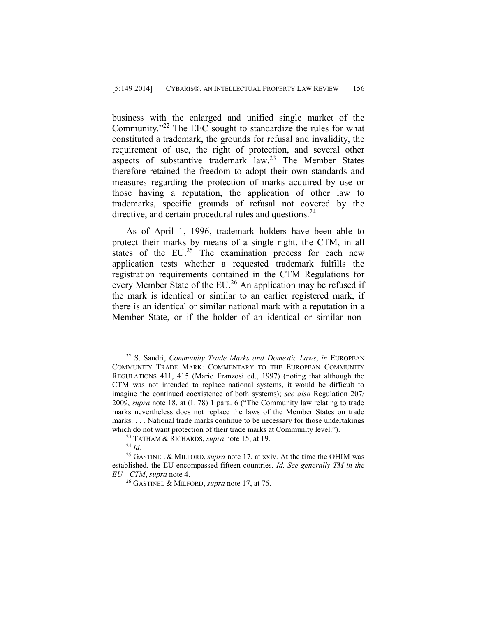business with the enlarged and unified single market of the Community."<sup>22</sup> The EEC sought to standardize the rules for what constituted a trademark, the grounds for refusal and invalidity, the requirement of use, the right of protection, and several other aspects of substantive trademark law.<sup>23</sup> The Member States therefore retained the freedom to adopt their own standards and measures regarding the protection of marks acquired by use or those having a reputation, the application of other law to trademarks, specific grounds of refusal not covered by the directive, and certain procedural rules and questions.<sup>24</sup>

As of April 1, 1996, trademark holders have been able to protect their marks by means of a single right, the CTM, in all states of the  $EU^{25}$  The examination process for each new application tests whether a requested trademark fulfills the registration requirements contained in the CTM Regulations for every Member State of the EU.<sup>26</sup> An application may be refused if the mark is identical or similar to an earlier registered mark, if there is an identical or similar national mark with a reputation in a Member State, or if the holder of an identical or similar non-

<sup>22</sup> S. Sandri, *Community Trade Marks and Domestic Laws*, *in* EUROPEAN COMMUNITY TRADE MARK: COMMENTARY TO THE EUROPEAN COMMUNITY REGULATIONS 411, 415 (Mario Franzosi ed., 1997) (noting that although the CTM was not intended to replace national systems, it would be difficult to imagine the continued coexistence of both systems); *see also* Regulation 207/ 2009, *supra* note 18, at (L 78) 1 para. 6 ("The Community law relating to trade marks nevertheless does not replace the laws of the Member States on trade marks. . . . National trade marks continue to be necessary for those undertakings which do not want protection of their trade marks at Community level.").

<sup>23</sup> TATHAM & RICHARDS, *supra* note 15, at 19.

<sup>24</sup> *Id.*

<sup>25</sup> GASTINEL & MILFORD, *supra* note 17, at xxiv. At the time the OHIM was established, the EU encompassed fifteen countries. *Id. See generally TM in the EU—CTM*, *supra* note 4.

<sup>26</sup> GASTINEL & MILFORD, *supra* note 17, at 76.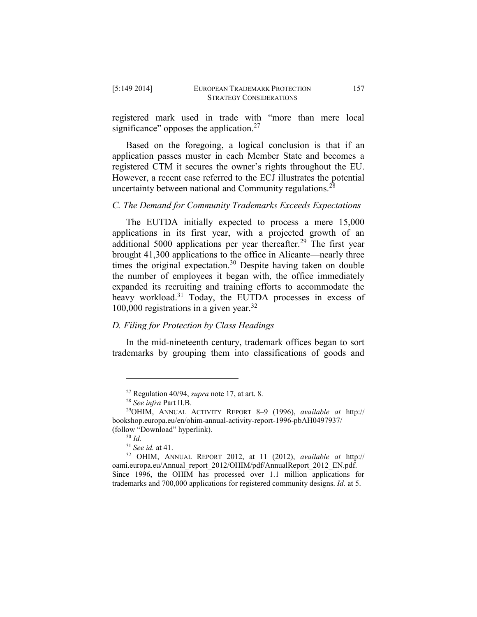registered mark used in trade with "more than mere local significance" opposes the application. $27$ 

Based on the foregoing, a logical conclusion is that if an application passes muster in each Member State and becomes a registered CTM it secures the owner's rights throughout the EU. However, a recent case referred to the ECJ illustrates the potential uncertainty between national and Community regulations.<sup>28</sup>

# *C. The Demand for Community Trademarks Exceeds Expectations*

The EUTDA initially expected to process a mere 15,000 applications in its first year, with a projected growth of an additional 5000 applications per year thereafter.<sup>29</sup> The first year brought 41,300 applications to the office in Alicante—nearly three times the original expectation. $30$  Despite having taken on double the number of employees it began with, the office immediately expanded its recruiting and training efforts to accommodate the heavy workload.<sup>31</sup> Today, the EUTDA processes in excess of 100,000 registrations in a given year.<sup>32</sup>

# *D. Filing for Protection by Class Headings*

In the mid-nineteenth century, trademark offices began to sort trademarks by grouping them into classifications of goods and

<sup>27</sup> Regulation 40/94, *supra* note 17, at art. 8.

<sup>28</sup> *See infra* Part II.B.

<sup>29</sup>OHIM, ANNUAL ACTIVITY REPORT 8–9 (1996), *available at* http:// bookshop.europa.eu/en/ohim-annual-activity-report-1996-pbAH0497937/ (follow "Download" hyperlink).

<sup>30</sup> *Id.*

<sup>31</sup> *See id.* at 41.

<sup>32</sup> OHIM, ANNUAL REPORT 2012, at 11 (2012), *available at* http:// oami.europa.eu/Annual\_report\_2012/OHIM/pdf/AnnualReport\_2012\_EN.pdf. Since 1996, the OHIM has processed over 1.1 million applications for trademarks and 700,000 applications for registered community designs. *Id.* at 5.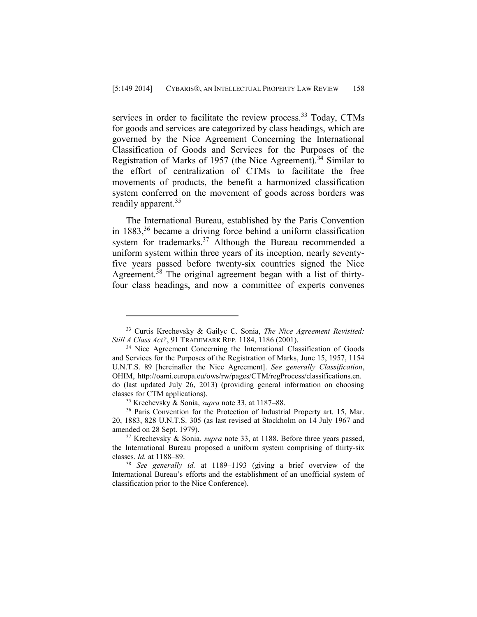services in order to facilitate the review process.<sup>33</sup> Today, CTMs for goods and services are categorized by class headings, which are governed by the Nice Agreement Concerning the International Classification of Goods and Services for the Purposes of the Registration of Marks of 1957 (the Nice Agreement).<sup>34</sup> Similar to the effort of centralization of CTMs to facilitate the free movements of products, the benefit a harmonized classification system conferred on the movement of goods across borders was readily apparent.<sup>35</sup>

The International Bureau, established by the Paris Convention in  $1883$ ,<sup>36</sup> became a driving force behind a uniform classification system for trademarks.<sup>37</sup> Although the Bureau recommended a uniform system within three years of its inception, nearly seventyfive years passed before twenty-six countries signed the Nice Agreement.<sup>38</sup> The original agreement began with a list of thirtyfour class headings, and now a committee of experts convenes

<sup>33</sup> Curtis Krechevsky & Gailyc C. Sonia, *The Nice Agreement Revisited: Still A Class Act?*, 91 TRADEMARK REP. 1184, 1186 (2001).

<sup>&</sup>lt;sup>34</sup> Nice Agreement Concerning the International Classification of Goods and Services for the Purposes of the Registration of Marks, June 15, 1957, 1154 U.N.T.S. 89 [hereinafter the Nice Agreement]. *See generally Classification*, OHIM, http://oami.europa.eu/ows/rw/pages/CTM/regProcess/classifications.en. do (last updated July 26, 2013) (providing general information on choosing classes for CTM applications).

<sup>35</sup> Krechevsky & Sonia, *supra* note 33, at 1187–88.

<sup>&</sup>lt;sup>36</sup> Paris Convention for the Protection of Industrial Property art. 15, Mar. 20, 1883, 828 U.N.T.S. 305 (as last revised at Stockholm on 14 July 1967 and amended on 28 Sept. 1979).

<sup>37</sup> Krechevsky & Sonia, *supra* note 33, at 1188. Before three years passed, the International Bureau proposed a uniform system comprising of thirty-six classes. *Id.* at 1188–89.

<sup>38</sup> *See generally id.* at 1189–1193 (giving a brief overview of the International Bureau's efforts and the establishment of an unofficial system of classification prior to the Nice Conference).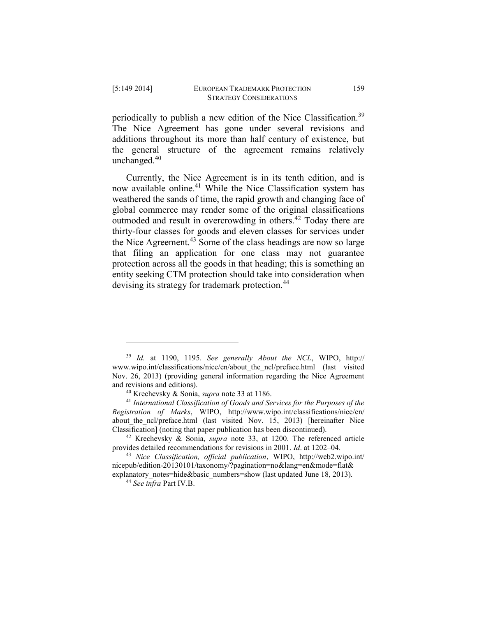$\overline{a}$ 

periodically to publish a new edition of the Nice Classification.<sup>39</sup> The Nice Agreement has gone under several revisions and additions throughout its more than half century of existence, but the general structure of the agreement remains relatively unchanged. $40$ 

Currently, the Nice Agreement is in its tenth edition, and is now available online.<sup>41</sup> While the Nice Classification system has weathered the sands of time, the rapid growth and changing face of global commerce may render some of the original classifications outmoded and result in overcrowding in others.<sup>42</sup> Today there are thirty-four classes for goods and eleven classes for services under the Nice Agreement.<sup>43</sup> Some of the class headings are now so large that filing an application for one class may not guarantee protection across all the goods in that heading; this is something an entity seeking CTM protection should take into consideration when devising its strategy for trademark protection.<sup>44</sup>

<sup>39</sup> *Id.* at 1190, 1195. *See generally About the NCL*, WIPO, http:// www.wipo.int/classifications/nice/en/about\_the\_ncl/preface.html (last visited Nov. 26, 2013) (providing general information regarding the Nice Agreement and revisions and editions).

<sup>40</sup> Krechevsky & Sonia, *supra* note 33 at 1186.

<sup>41</sup> *International Classification of Goods and Services for the Purposes of the Registration of Marks*, WIPO, http://www.wipo.int/classifications/nice/en/ about the ncl/preface.html (last visited Nov. 15, 2013) [hereinafter Nice Classification] (noting that paper publication has been discontinued).

<sup>42</sup> Krechevsky & Sonia, *supra* note 33, at 1200. The referenced article provides detailed recommendations for revisions in 2001. *Id*. at 1202–04.

<sup>43</sup> *Nice Classification, official publication*, WIPO, http://web2.wipo.int/ nicepub/edition-20130101/taxonomy/?pagination=no&lang=en&mode=flat& explanatory\_notes=hide&basic\_numbers=show (last updated June 18, 2013).

<sup>44</sup> *See infra* Part IV.B.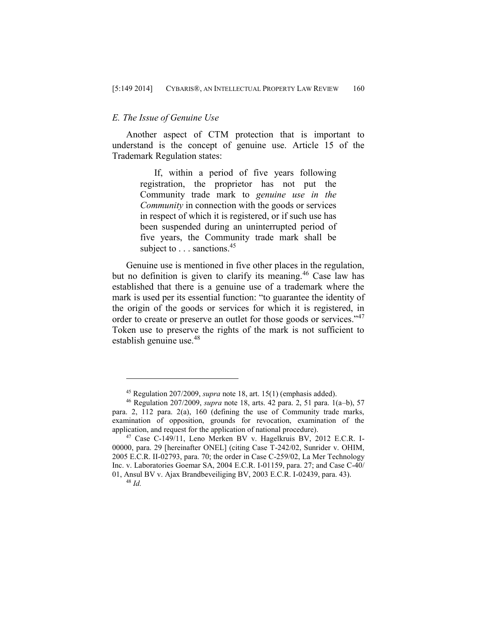## *E. The Issue of Genuine Use*

Another aspect of CTM protection that is important to understand is the concept of genuine use. Article 15 of the Trademark Regulation states:

> If, within a period of five years following registration, the proprietor has not put the Community trade mark to *genuine use in the Community* in connection with the goods or services in respect of which it is registered, or if such use has been suspended during an uninterrupted period of five years, the Community trade mark shall be subject to  $\ldots$  sanctions.<sup>45</sup>

Genuine use is mentioned in five other places in the regulation, but no definition is given to clarify its meaning.<sup>46</sup> Case law has established that there is a genuine use of a trademark where the mark is used per its essential function: "to guarantee the identity of the origin of the goods or services for which it is registered, in order to create or preserve an outlet for those goods or services."<sup>47</sup> Token use to preserve the rights of the mark is not sufficient to establish genuine use.<sup>48</sup>

<sup>45</sup> Regulation 207/2009, *supra* note 18, art. 15(1) (emphasis added).

<sup>46</sup> Regulation 207/2009, *supra* note 18, arts. 42 para. 2, 51 para. 1(a–b), 57 para. 2, 112 para. 2(a), 160 (defining the use of Community trade marks, examination of opposition, grounds for revocation, examination of the application, and request for the application of national procedure).

<sup>47</sup> Case C-149/11, Leno Merken BV v. Hagelkruis BV, 2012 E.C.R. I-00000, para. 29 [hereinafter ONEL] (citing Case T-242/02, Sunrider v. OHIM, 2005 E.C.R. II-02793, para. 70; the order in Case C-259/02, La Mer Technology Inc. v. Laboratories Goemar SA, 2004 E.C.R. I-01159, para. 27; and Case C-40/ 01, Ansul BV v. Ajax Brandbeveiliging BV, 2003 E.C.R. I-02439, para. 43).

<sup>48</sup> *Id.*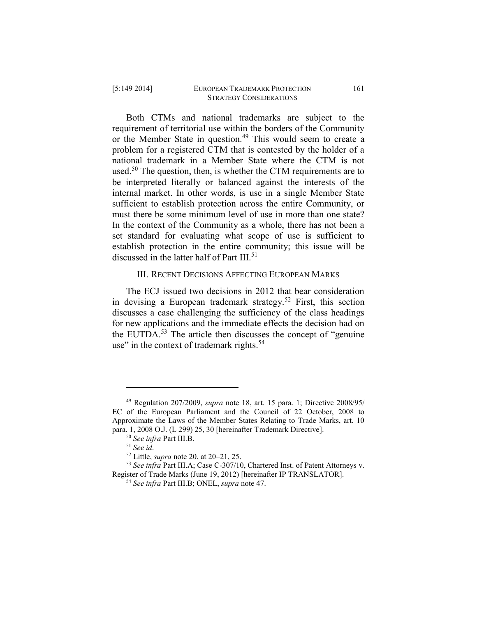Both CTMs and national trademarks are subject to the requirement of territorial use within the borders of the Community or the Member State in question.<sup>49</sup> This would seem to create a problem for a registered CTM that is contested by the holder of a national trademark in a Member State where the CTM is not used.<sup>50</sup> The question, then, is whether the CTM requirements are to be interpreted literally or balanced against the interests of the internal market. In other words, is use in a single Member State sufficient to establish protection across the entire Community, or must there be some minimum level of use in more than one state? In the context of the Community as a whole, there has not been a set standard for evaluating what scope of use is sufficient to establish protection in the entire community; this issue will be discussed in the latter half of Part III.<sup>51</sup>

## III. RECENT DECISIONS AFFECTING EUROPEAN MARKS

The ECJ issued two decisions in 2012 that bear consideration in devising a European trademark strategy.<sup>52</sup> First, this section discusses a case challenging the sufficiency of the class headings for new applications and the immediate effects the decision had on the EUTDA.<sup>53</sup> The article then discusses the concept of "genuine" use" in the context of trademark rights.<sup>54</sup>

<sup>49</sup> Regulation 207/2009, *supra* note 18, art. 15 para. 1; Directive 2008/95/ EC of the European Parliament and the Council of 22 October, 2008 to Approximate the Laws of the Member States Relating to Trade Marks, art. 10 para. 1, 2008 O.J. (L 299) 25, 30 [hereinafter Trademark Directive].

<sup>50</sup> *See infra* Part III.B.

<sup>51</sup> *See id*.

<sup>52</sup> Little, *supra* note 20, at 20–21, 25.

<sup>53</sup> *See infra* Part III.A; Case C-307/10, Chartered Inst. of Patent Attorneys v. Register of Trade Marks (June 19, 2012) [hereinafter IP TRANSLATOR].

<sup>54</sup> *See infra* Part III.B; ONEL, *supra* note 47.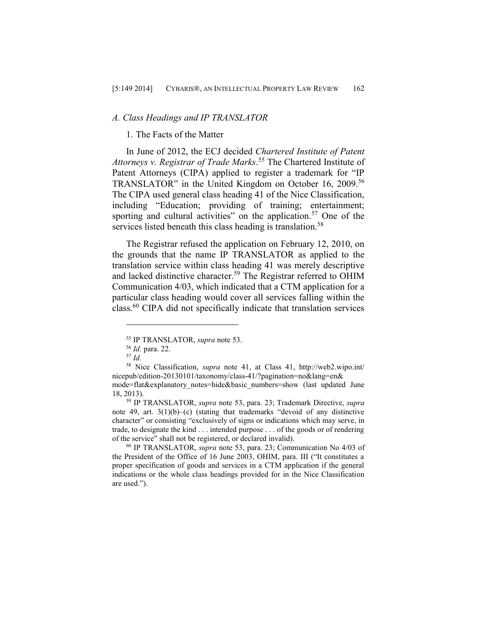## *A. Class Headings and IP TRANSLATOR*

#### 1. The Facts of the Matter

In June of 2012, the ECJ decided *Chartered Institute of Patent Attorneys v. Registrar of Trade Marks*. <sup>55</sup> The Chartered Institute of Patent Attorneys (CIPA) applied to register a trademark for "IP TRANSLATOR" in the United Kingdom on October 16, 2009.<sup>56</sup> The CIPA used general class heading 41 of the Nice Classification, including "Education; providing of training; entertainment; sporting and cultural activities" on the application.<sup>57</sup> One of the services listed beneath this class heading is translation.<sup>58</sup>

The Registrar refused the application on February 12, 2010, on the grounds that the name IP TRANSLATOR as applied to the translation service within class heading 41 was merely descriptive and lacked distinctive character.<sup>59</sup> The Registrar referred to OHIM Communication 4/03, which indicated that a CTM application for a particular class heading would cover all services falling within the class.<sup>60</sup> CIPA did not specifically indicate that translation services

<sup>55</sup> IP TRANSLATOR, *supra* note 53.

<sup>56</sup> *Id.* para. 22.

<sup>57</sup> *Id.*

<sup>58</sup> Nice Classification, *supra* note 41, at Class 41, http://web2.wipo.int/ nicepub/edition-20130101/taxonomy/class-41/?pagination=no&lang=en&

mode=flat&explanatory\_notes=hide&basic\_numbers=show (last updated June 18, 2013).

<sup>59</sup> IP TRANSLATOR, *supra* note 53, para. 23; Trademark Directive, *supra* note 49, art.  $3(1)(b)$ –(c) (stating that trademarks "devoid of any distinctive character" or consisting "exclusively of signs or indications which may serve, in trade, to designate the kind . . . intended purpose . . . of the goods or of rendering of the service" shall not be registered, or declared invalid).

<sup>60</sup> IP TRANSLATOR, *supra* note 53, para. 23; Communication No 4/03 of the President of the Office of 16 June 2003, OHIM, para. III ("It constitutes a proper specification of goods and services in a CTM application if the general indications or the whole class headings provided for in the Nice Classification are used.").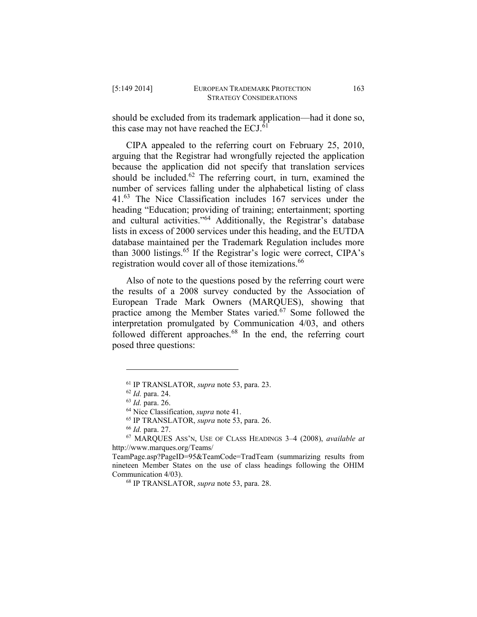should be excluded from its trademark application—had it done so, this case may not have reached the  $ECJ$ .<sup>61</sup>

CIPA appealed to the referring court on February 25, 2010, arguing that the Registrar had wrongfully rejected the application because the application did not specify that translation services should be included.<sup>62</sup> The referring court, in turn, examined the number of services falling under the alphabetical listing of class 41.<sup>63</sup> The Nice Classification includes 167 services under the heading "Education; providing of training; entertainment; sporting and cultural activities."<sup>64</sup> Additionally, the Registrar's database lists in excess of 2000 services under this heading, and the EUTDA database maintained per the Trademark Regulation includes more than 3000 listings.<sup>65</sup> If the Registrar's logic were correct, CIPA's registration would cover all of those itemizations.<sup>66</sup>

Also of note to the questions posed by the referring court were the results of a 2008 survey conducted by the Association of European Trade Mark Owners (MARQUES), showing that practice among the Member States varied.<sup>67</sup> Some followed the interpretation promulgated by Communication 4/03, and others followed different approaches.<sup>68</sup> In the end, the referring court posed three questions:

<sup>61</sup> IP TRANSLATOR, *supra* note 53, para. 23.

<sup>62</sup> *Id.* para. 24.

<sup>63</sup> *Id.* para. 26.

<sup>64</sup> Nice Classification, *supra* note 41.

<sup>65</sup> IP TRANSLATOR, *supra* note 53, para. 26.

<sup>66</sup> *Id.* para. 27.

<sup>67</sup> MARQUES ASS'N, USE OF CLASS HEADINGS 3–4 (2008), *available at*  http://www.marques.org/Teams/

TeamPage.asp?PageID=95&TeamCode=TradTeam (summarizing results from nineteen Member States on the use of class headings following the OHIM Communication 4/03).

<sup>68</sup> IP TRANSLATOR, *supra* note 53, para. 28.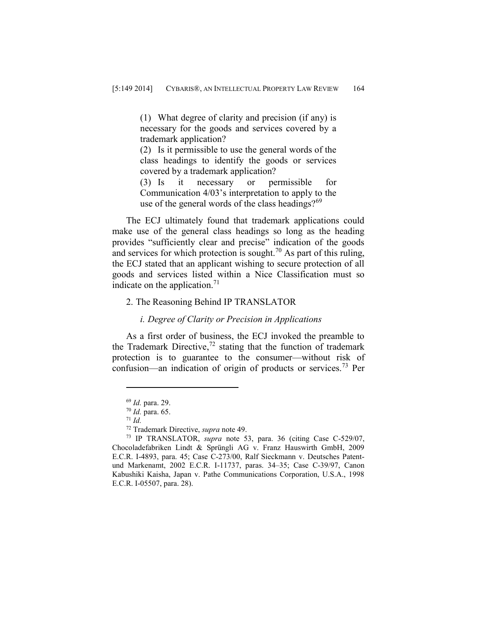(1) What degree of clarity and precision (if any) is necessary for the goods and services covered by a trademark application?

(2) Is it permissible to use the general words of the class headings to identify the goods or services covered by a trademark application?

(3) Is it necessary or permissible for Communication 4/03's interpretation to apply to the use of the general words of the class headings? $69$ 

The ECJ ultimately found that trademark applications could make use of the general class headings so long as the heading provides "sufficiently clear and precise" indication of the goods and services for which protection is sought.<sup>70</sup> As part of this ruling, the ECJ stated that an applicant wishing to secure protection of all goods and services listed within a Nice Classification must so indicate on the application.<sup>71</sup>

# 2. The Reasoning Behind IP TRANSLATOR

### *i. Degree of Clarity or Precision in Applications*

As a first order of business, the ECJ invoked the preamble to the Trademark Directive, $72$  stating that the function of trademark protection is to guarantee to the consumer—without risk of confusion—an indication of origin of products or services.<sup>73</sup> Per

<sup>69</sup> *Id.* para. 29.

<sup>70</sup> *Id.* para. 65.

<sup>71</sup> *Id.*

<sup>72</sup> Trademark Directive, *supra* note 49.

<sup>73</sup> IP TRANSLATOR, *supra* note 53, para. 36 (citing Case C-529/07, Chocoladefabriken Lindt & Sprüngli AG v. Franz Hauswirth GmbH, 2009 E.C.R. I-4893, para. 45; Case C-273/00, Ralf Sieckmann v. Deutsches Patentund Markenamt, 2002 E.C.R. I-11737, paras. 34–35; Case C-39/97, Canon Kabushiki Kaisha, Japan v. Pathe Communications Corporation, U.S.A., 1998 E.C.R. I-05507, para. 28).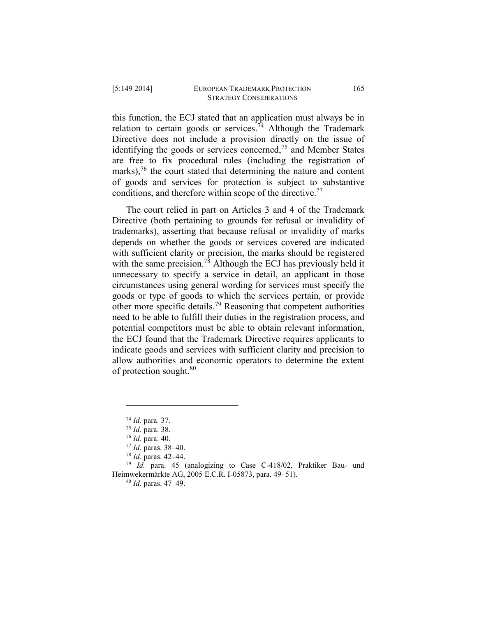this function, the ECJ stated that an application must always be in relation to certain goods or services.<sup>74</sup> Although the Trademark Directive does not include a provision directly on the issue of identifying the goods or services concerned, $75$  and Member States are free to fix procedural rules (including the registration of marks), $76$  the court stated that determining the nature and content of goods and services for protection is subject to substantive conditions, and therefore within scope of the directive.<sup>77</sup>

The court relied in part on Articles 3 and 4 of the Trademark Directive (both pertaining to grounds for refusal or invalidity of trademarks), asserting that because refusal or invalidity of marks depends on whether the goods or services covered are indicated with sufficient clarity or precision, the marks should be registered with the same precision.<sup>78</sup> Although the ECJ has previously held it unnecessary to specify a service in detail, an applicant in those circumstances using general wording for services must specify the goods or type of goods to which the services pertain, or provide other more specific details.<sup>79</sup> Reasoning that competent authorities need to be able to fulfill their duties in the registration process, and potential competitors must be able to obtain relevant information, the ECJ found that the Trademark Directive requires applicants to indicate goods and services with sufficient clarity and precision to allow authorities and economic operators to determine the extent of protection sought.<sup>80</sup>

 $\overline{a}$ 

<sup>79</sup> *Id.* para. 45 (analogizing to Case C-418/02, Praktiker Bau- und Heimwekermärkte AG, 2005 E.C.R. I-05873, para. 49–51).

<sup>74</sup> *Id.* para. 37.

<sup>75</sup> *Id.* para. 38.

<sup>76</sup> *Id.* para. 40.

<sup>77</sup> *Id.* paras. 38–40.

<sup>78</sup> *Id.* paras. 42–44.

<sup>80</sup> *Id.* paras. 47–49.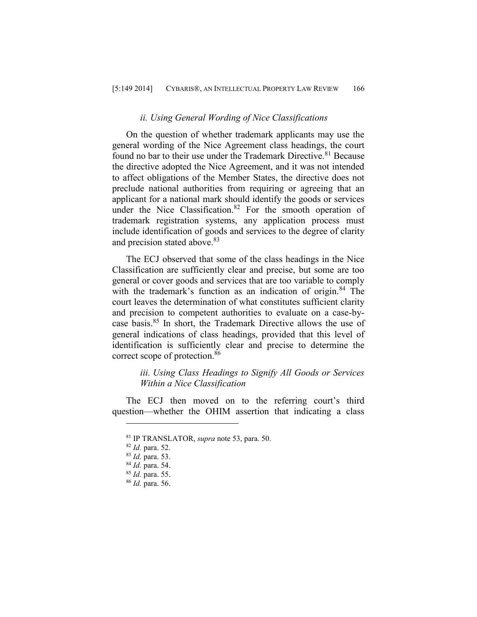#### *ii. Using General Wording of Nice Classifications*

On the question of whether trademark applicants may use the general wording of the Nice Agreement class headings, the court found no bar to their use under the Trademark Directive.<sup>81</sup> Because the directive adopted the Nice Agreement, and it was not intended to affect obligations of the Member States, the directive does not preclude national authorities from requiring or agreeing that an applicant for a national mark should identify the goods or services under the Nice Classification. $82$  For the smooth operation of trademark registration systems, any application process must include identification of goods and services to the degree of clarity and precision stated above.<sup>83</sup>

The ECJ observed that some of the class headings in the Nice Classification are sufficiently clear and precise, but some are too general or cover goods and services that are too variable to comply with the trademark's function as an indication of origin.<sup>84</sup> The court leaves the determination of what constitutes sufficient clarity and precision to competent authorities to evaluate on a case-bycase basis.<sup>85</sup> In short, the Trademark Directive allows the use of general indications of class headings, provided that this level of identification is sufficiently clear and precise to determine the correct scope of protection.<sup>86</sup>

# *iii. Using Class Headings to Signify All Goods or Services Within a Nice Classification*

The ECJ then moved on to the referring court's third question—whether the OHIM assertion that indicating a class

<sup>81</sup> IP TRANSLATOR, *supra* note 53, para. 50.

<sup>82</sup> *Id.* para. 52.

<sup>83</sup> *Id.* para. 53.

<sup>84</sup> *Id.* para. 54.

<sup>85</sup> *Id.* para. 55.

<sup>86</sup> *Id.* para. 56.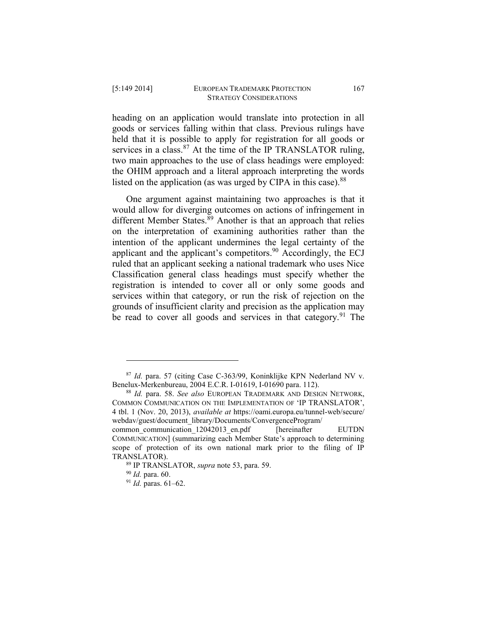heading on an application would translate into protection in all goods or services falling within that class. Previous rulings have held that it is possible to apply for registration for all goods or services in a class.  $87$  At the time of the IP TRANSLATOR ruling, two main approaches to the use of class headings were employed: the OHIM approach and a literal approach interpreting the words listed on the application (as was urged by CIPA in this case). $88$ 

One argument against maintaining two approaches is that it would allow for diverging outcomes on actions of infringement in different Member States. $89$  Another is that an approach that relies on the interpretation of examining authorities rather than the intention of the applicant undermines the legal certainty of the applicant and the applicant's competitors.  $90$  Accordingly, the ECJ ruled that an applicant seeking a national trademark who uses Nice Classification general class headings must specify whether the registration is intended to cover all or only some goods and services within that category, or run the risk of rejection on the grounds of insufficient clarity and precision as the application may be read to cover all goods and services in that category.<sup>91</sup> The

<sup>87</sup> *Id.* para. 57 (citing Case C-363/99, Koninklijke KPN Nederland NV v. Benelux-Merkenbureau, 2004 E.C.R. I-01619, I-01690 para. 112).

<sup>88</sup> *Id.* para. 58. *See also* EUROPEAN TRADEMARK AND DESIGN NETWORK, COMMON COMMUNICATION ON THE IMPLEMENTATION OF 'IP TRANSLATOR', 4 tbl. 1 (Nov. 20, 2013), *available at* https://oami.europa.eu/tunnel-web/secure/ webdav/guest/document\_library/Documents/ConvergenceProgram/

common communication 12042013 en.pdf [hereinafter EUTDN] COMMUNICATION] (summarizing each Member State's approach to determining scope of protection of its own national mark prior to the filing of IP TRANSLATOR).

<sup>89</sup> IP TRANSLATOR, *supra* note 53, para. 59.

<sup>90</sup> *Id.* para. 60.

<sup>91</sup> *Id.* paras. 61–62.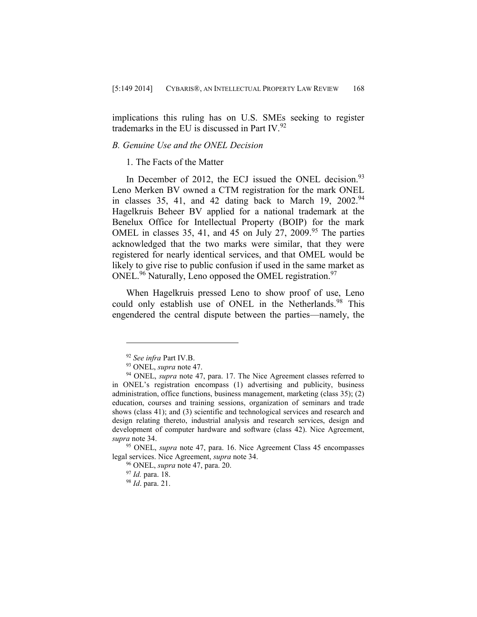implications this ruling has on U.S. SMEs seeking to register trademarks in the EU is discussed in Part IV. $^{92}$ 

# *B. Genuine Use and the ONEL Decision*

# 1. The Facts of the Matter

In December of 2012, the ECJ issued the ONEL decision.<sup>93</sup> Leno Merken BV owned a CTM registration for the mark ONEL in classes 35, 41, and 42 dating back to March 19,  $2002.^{94}$ Hagelkruis Beheer BV applied for a national trademark at the Benelux Office for Intellectual Property (BOIP) for the mark OMEL in classes 35, 41, and 45 on July 27, 2009.<sup>95</sup> The parties acknowledged that the two marks were similar, that they were registered for nearly identical services, and that OMEL would be likely to give rise to public confusion if used in the same market as ONEL.<sup>96</sup> Naturally, Leno opposed the OMEL registration.<sup>97</sup>

When Hagelkruis pressed Leno to show proof of use, Leno could only establish use of ONEL in the Netherlands.<sup>98</sup> This engendered the central dispute between the parties—namely, the

<sup>92</sup> *See infra* Part IV.B.

<sup>93</sup> ONEL, *supra* note 47.

<sup>&</sup>lt;sup>94</sup> ONEL, *supra* note 47, para. 17. The Nice Agreement classes referred to in ONEL's registration encompass (1) advertising and publicity, business administration, office functions, business management, marketing (class 35); (2) education, courses and training sessions, organization of seminars and trade shows (class 41); and (3) scientific and technological services and research and design relating thereto, industrial analysis and research services, design and development of computer hardware and software (class 42). Nice Agreement, *supra* note 34.

<sup>95</sup> ONEL, *supra* note 47, para. 16. Nice Agreement Class 45 encompasses legal services. Nice Agreement, *supra* note 34.

<sup>96</sup> ONEL, *supra* note 47, para. 20.

<sup>97</sup> *Id.* para. 18.

<sup>98</sup> *Id*. para. 21.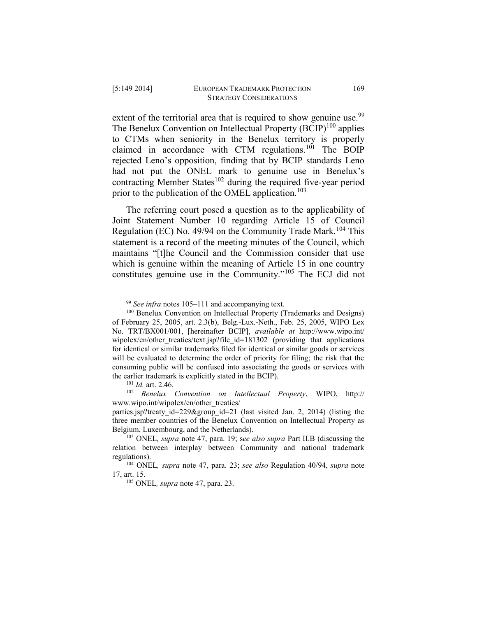extent of the territorial area that is required to show genuine use.<sup>99</sup> The Benelux Convention on Intellectual Property  $(BCIP)^{100}$  applies to CTMs when seniority in the Benelux territory is properly claimed in accordance with CTM regulations.<sup>101</sup> The BOIP rejected Leno's opposition, finding that by BCIP standards Leno had not put the ONEL mark to genuine use in Benelux's contracting Member States<sup>102</sup> during the required five-year period prior to the publication of the OMEL application.<sup>103</sup>

The referring court posed a question as to the applicability of Joint Statement Number 10 regarding Article 15 of Council Regulation (EC) No. 49/94 on the Community Trade Mark.<sup>104</sup> This statement is a record of the meeting minutes of the Council, which maintains "[t]he Council and the Commission consider that use which is genuine within the meaning of Article 15 in one country constitutes genuine use in the Community."<sup>105</sup> The ECJ did not

 $\overline{a}$ 

<sup>102</sup> *Benelux Convention on Intellectual Property*, WIPO, http:// www.wipo.int/wipolex/en/other\_treaties/

<sup>99</sup> *See infra* notes 105–111 and accompanying text.

<sup>100</sup> Benelux Convention on Intellectual Property (Trademarks and Designs) of February 25, 2005, art. 2.3(b), Belg.-Lux.-Neth., Feb. 25, 2005, WIPO Lex No. TRT/BX001/001, [hereinafter BCIP], *available at* http://www.wipo.int/ wipolex/en/other\_treaties/text.jsp?file\_id=181302 (providing that applications for identical or similar trademarks filed for identical or similar goods or services will be evaluated to determine the order of priority for filing; the risk that the consuming public will be confused into associating the goods or services with the earlier trademark is explicitly stated in the BCIP).

<sup>101</sup> *Id.* art. 2.46.

parties.jsp?treaty\_id=229&group\_id=21 (last visited Jan. 2, 2014) (listing the three member countries of the Benelux Convention on Intellectual Property as Belgium, Luxembourg, and the Netherlands).

<sup>103</sup> ONEL*, supra* note 47, para. 19; s*ee also supra* Part II.B (discussing the relation between interplay between Community and national trademark regulations).

<sup>104</sup> ONEL*, supra* note 47, para. 23; *see also* Regulation 40/94, *supra* note 17, art. 15.

<sup>105</sup> ONEL*, supra* note 47, para. 23.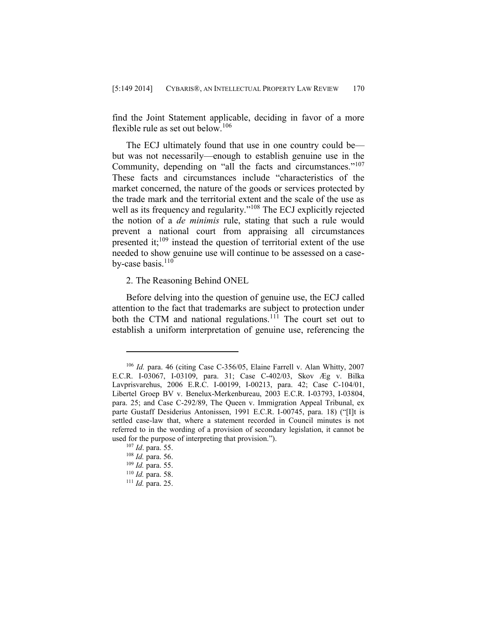find the Joint Statement applicable, deciding in favor of a more flexible rule as set out below.<sup>106</sup>

The ECJ ultimately found that use in one country could be but was not necessarily—enough to establish genuine use in the Community, depending on "all the facts and circumstances."<sup>107</sup> These facts and circumstances include "characteristics of the market concerned, the nature of the goods or services protected by the trade mark and the territorial extent and the scale of the use as well as its frequency and regularity."<sup>108</sup> The ECJ explicitly rejected the notion of a *de minimis* rule, stating that such a rule would prevent a national court from appraising all circumstances presented it; $^{109}$  instead the question of territorial extent of the use needed to show genuine use will continue to be assessed on a caseby-case basis. $110$ 

2. The Reasoning Behind ONEL

Before delving into the question of genuine use, the ECJ called attention to the fact that trademarks are subject to protection under both the CTM and national regulations.<sup>111</sup> The court set out to establish a uniform interpretation of genuine use, referencing the

<sup>106</sup> *Id.* para. 46 (citing Case C-356/05, Elaine Farrell v. Alan Whitty, 2007 E.C.R. I-03067, I-03109, para. 31; Case C-402/03, Skov Æg v. Bilka Lavprisvarehus, 2006 E.R.C. I-00199, I-00213, para. 42; Case C-104/01, Libertel Groep BV v. Benelux-Merkenbureau, 2003 E.C.R. I-03793, I-03804, para. 25; and Case C-292/89, The Queen v. Immigration Appeal Tribunal, ex parte Gustaff Desiderius Antonissen, 1991 E.C.R. I-00745, para. 18) ("[I]t is settled case-law that, where a statement recorded in Council minutes is not referred to in the wording of a provision of secondary legislation, it cannot be used for the purpose of interpreting that provision.").

<sup>107</sup> *Id*. para. 55.

<sup>108</sup> *Id.* para. 56.

<sup>109</sup> *Id.* para. 55.

<sup>110</sup> *Id.* para. 58.

<sup>111</sup> *Id.* para. 25.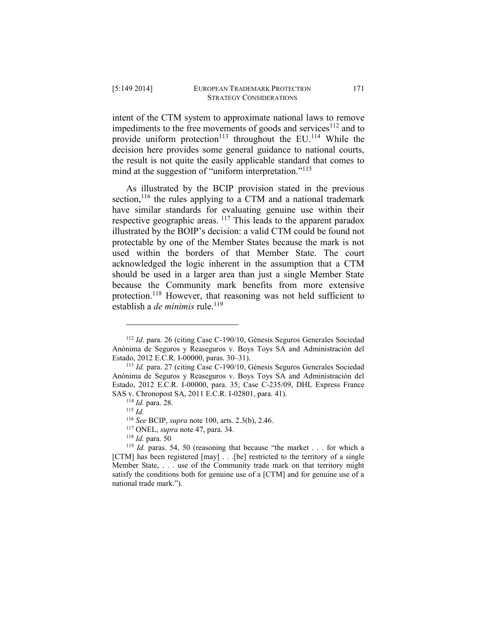intent of the CTM system to approximate national laws to remove impediments to the free movements of goods and services $112$  and to provide uniform protection<sup>113</sup> throughout the EU.<sup>114</sup> While the decision here provides some general guidance to national courts, the result is not quite the easily applicable standard that comes to mind at the suggestion of "uniform interpretation."<sup>115</sup>

As illustrated by the BCIP provision stated in the previous section,  $116$  the rules applying to a CTM and a national trademark have similar standards for evaluating genuine use within their respective geographic areas. <sup>117</sup> This leads to the apparent paradox illustrated by the BOIP's decision: a valid CTM could be found not protectable by one of the Member States because the mark is not used within the borders of that Member State. The court acknowledged the logic inherent in the assumption that a CTM should be used in a larger area than just a single Member State because the Community mark benefits from more extensive protection.<sup>118</sup> However, that reasoning was not held sufficient to establish a *de minimis* rule.<sup>119</sup>

<sup>112</sup> *Id.* para. 26 (citing Case C-190/10, Génesis Seguros Generales Sociedad Anónima de Seguros y Reaseguros v. Boys Toys SA and Administración del Estado, 2012 E.C.R. I-00000, paras. 30–31).

<sup>113</sup> *Id.* para. 27 (citing Case C-190/10, Génesis Seguros Generales Sociedad Anónima de Seguros y Reaseguros v. Boys Toys SA and Administración del Estado, 2012 E.C.R. I-00000, para. 35; Case C-235/09, DHL Express France SAS v. Chronopost SA, 2011 E.C.R. I-02801, para. 41).

<sup>114</sup> *Id.* para. 28.

<sup>115</sup> *Id.*

<sup>116</sup> *See* BCIP, *supra* note 100, arts. 2.3(b), 2.46.

<sup>117</sup> ONEL, *supra* note 47, para. 34.

<sup>118</sup> *Id.* para. 50

<sup>119</sup> *Id.* paras. 54, 50 (reasoning that because "the market . . . for which a [CTM] has been registered [may] . . .[be] restricted to the territory of a single Member State, . . . use of the Community trade mark on that territory might satisfy the conditions both for genuine use of a [CTM] and for genuine use of a national trade mark.").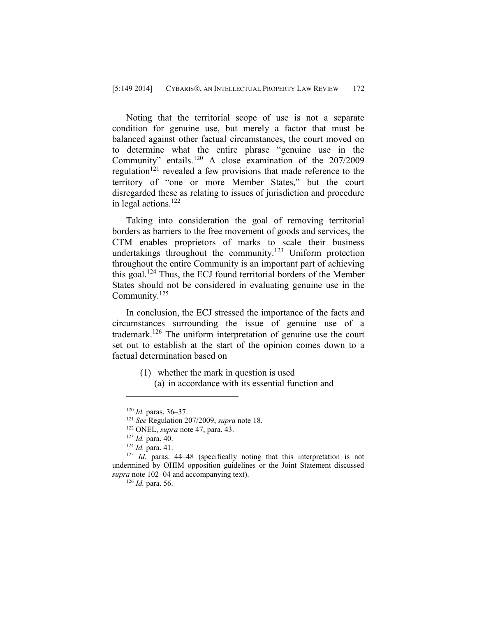Noting that the territorial scope of use is not a separate condition for genuine use, but merely a factor that must be balanced against other factual circumstances, the court moved on to determine what the entire phrase "genuine use in the Community" entails.<sup>120</sup> A close examination of the 207/2009 regulation<sup>121</sup> revealed a few provisions that made reference to the territory of "one or more Member States," but the court disregarded these as relating to issues of jurisdiction and procedure in legal actions.<sup>122</sup>

Taking into consideration the goal of removing territorial borders as barriers to the free movement of goods and services, the CTM enables proprietors of marks to scale their business undertakings throughout the community.<sup>123</sup> Uniform protection throughout the entire Community is an important part of achieving this goal.<sup>124</sup> Thus, the ECJ found territorial borders of the Member States should not be considered in evaluating genuine use in the Community.<sup>125</sup>

In conclusion, the ECJ stressed the importance of the facts and circumstances surrounding the issue of genuine use of a trademark.<sup>126</sup> The uniform interpretation of genuine use the court set out to establish at the start of the opinion comes down to a factual determination based on

> (1) whether the mark in question is used (a) in accordance with its essential function and

<sup>120</sup> *Id.* paras. 36–37.

<sup>121</sup> *See* Regulation 207/2009, *supra* note 18.

<sup>122</sup> ONEL, *supra* note 47, para. 43.

<sup>123</sup> *Id.* para. 40.

<sup>124</sup> *Id.* para. 41.

<sup>125</sup> *Id.* paras. 44–48 (specifically noting that this interpretation is not undermined by OHIM opposition guidelines or the Joint Statement discussed *supra* note 102–04 and accompanying text).

<sup>126</sup> *Id.* para. 56.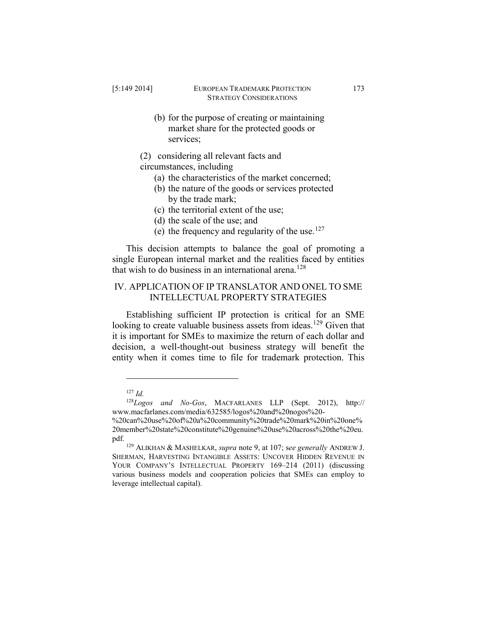- (b) for the purpose of creating or maintaining market share for the protected goods or services;
- (2) considering all relevant facts and

circumstances, including

- (a) the characteristics of the market concerned;
- (b) the nature of the goods or services protected by the trade mark;
- (c) the territorial extent of the use;
- (d) the scale of the use; and
- (e) the frequency and regularity of the use.<sup>127</sup>

This decision attempts to balance the goal of promoting a single European internal market and the realities faced by entities that wish to do business in an international arena.<sup>128</sup>

# IV. APPLICATION OF IP TRANSLATOR AND ONEL TO SME INTELLECTUAL PROPERTY STRATEGIES

Establishing sufficient IP protection is critical for an SME looking to create valuable business assets from ideas.<sup>129</sup> Given that it is important for SMEs to maximize the return of each dollar and decision, a well-thought-out business strategy will benefit the entity when it comes time to file for trademark protection. This

<sup>127</sup> *Id.*

<sup>128</sup>*Logos and No-Gos*, MACFARLANES LLP (Sept. 2012), http:// www.macfarlanes.com/media/632585/logos%20and%20nogos%20-

<sup>%20</sup>can%20use%20of%20a%20community%20trade%20mark%20in%20one% 20member%20state%20constitute%20genuine%20use%20across%20the%20eu. pdf.

<sup>129</sup> ALIKHAN & MASHELKAR, *supra* note 9, at 107; s*ee generally* ANDREW J. SHERMAN, HARVESTING INTANGIBLE ASSETS: UNCOVER HIDDEN REVENUE IN YOUR COMPANY'S INTELLECTUAL PROPERTY 169–214 (2011) (discussing various business models and cooperation policies that SMEs can employ to leverage intellectual capital).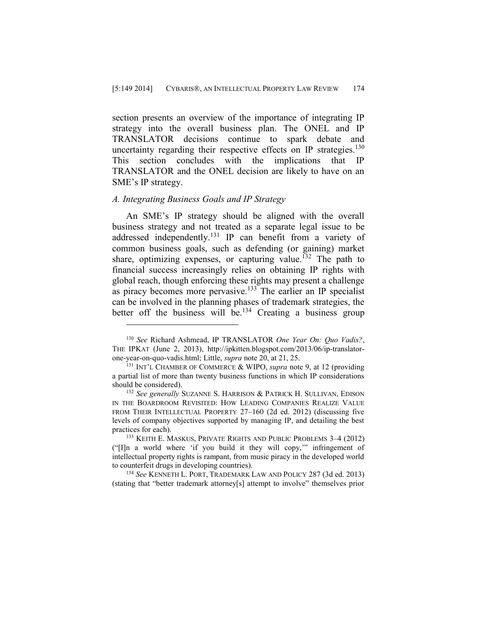section presents an overview of the importance of integrating IP strategy into the overall business plan. The ONEL and IP TRANSLATOR decisions continue to spark debate and uncertainty regarding their respective effects on IP strategies.<sup>130</sup> This section concludes with the implications that IP TRANSLATOR and the ONEL decision are likely to have on an SME's IP strategy.

#### *A. Integrating Business Goals and IP Strategy*

 $\overline{a}$ 

An SME's IP strategy should be aligned with the overall business strategy and not treated as a separate legal issue to be addressed independently.<sup>131</sup> IP can benefit from a variety of common business goals, such as defending (or gaining) market share, optimizing expenses, or capturing value.<sup>132</sup> The path to financial success increasingly relies on obtaining IP rights with global reach, though enforcing these rights may present a challenge as piracy becomes more pervasive.<sup>133</sup> The earlier an IP specialist can be involved in the planning phases of trademark strategies, the better off the business will be.<sup>134</sup> Creating a business group

<sup>130</sup> *See* Richard Ashmead, IP TRANSLATOR *One Year On: Quo Vadis?*, THE IPKAT (June 2, 2013), http://ipkitten.blogspot.com/2013/06/ip-translatorone-year-on-quo-vadis.html; Little, *supra* note 20, at 21, 25.

<sup>131</sup> INT'L CHAMBER OF COMMERCE & WIPO, *supra* note 9, at 12 (providing a partial list of more than twenty business functions in which IP considerations should be considered).

<sup>132</sup> *See generally* SUZANNE S. HARRISON & PATRICK H. SULLIVAN, EDISON IN THE BOARDROOM REVISITED: HOW LEADING COMPANIES REALIZE VALUE FROM THEIR INTELLECTUAL PROPERTY 27–160 (2d ed. 2012) (discussing five levels of company objectives supported by managing IP, and detailing the best practices for each).

<sup>133</sup> KEITH E. MASKUS, PRIVATE RIGHTS AND PUBLIC PROBLEMS 3–4 (2012) ("[I]n a world where 'if you build it they will copy,'" infringement of intellectual property rights is rampant, from music piracy in the developed world to counterfeit drugs in developing countries).

<sup>134</sup> *See* KENNETH L. PORT, TRADEMARK LAW AND POLICY 287 (3d ed. 2013) (stating that "better trademark attorney[s] attempt to involve" themselves prior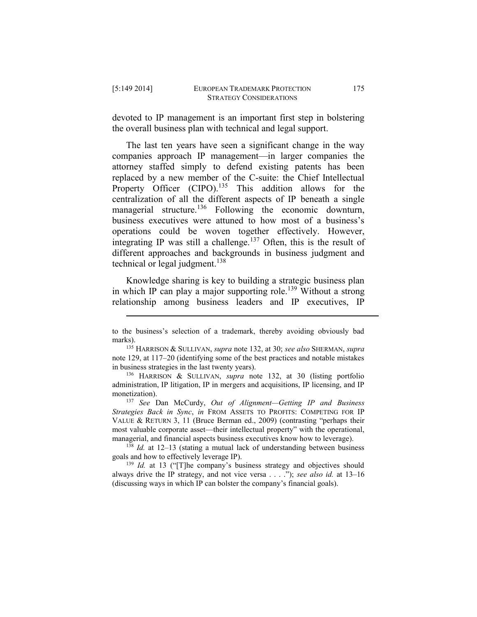$\overline{a}$ 

devoted to IP management is an important first step in bolstering the overall business plan with technical and legal support.

The last ten years have seen a significant change in the way companies approach IP management—in larger companies the attorney staffed simply to defend existing patents has been replaced by a new member of the C-suite: the Chief Intellectual Property Officer (CIPO).<sup>135</sup> This addition allows for the centralization of all the different aspects of IP beneath a single managerial structure.<sup>136</sup> Following the economic downturn, business executives were attuned to how most of a business's operations could be woven together effectively. However, integrating IP was still a challenge.<sup>137</sup> Often, this is the result of different approaches and backgrounds in business judgment and technical or legal judgment.<sup>138</sup>

Knowledge sharing is key to building a strategic business plan in which IP can play a major supporting role.<sup>139</sup> Without a strong relationship among business leaders and IP executives, IP

to the business's selection of a trademark, thereby avoiding obviously bad marks).

<sup>135</sup> HARRISON & SULLIVAN, *supra* note 132, at 30; *see also* SHERMAN, *supra* note 129, at 117–20 (identifying some of the best practices and notable mistakes in business strategies in the last twenty years).

<sup>136</sup> HARRISON & SULLIVAN, *supra* note 132, at 30 (listing portfolio administration, IP litigation, IP in mergers and acquisitions, IP licensing, and IP monetization).

<sup>137</sup> *See* Dan McCurdy, *Out of Alignment—Getting IP and Business Strategies Back in Sync*, *in* FROM ASSETS TO PROFITS: COMPETING FOR IP VALUE & RETURN 3, 11 (Bruce Berman ed., 2009) (contrasting "perhaps their most valuable corporate asset—their intellectual property" with the operational, managerial, and financial aspects business executives know how to leverage).

<sup>138</sup> *Id.* at 12–13 (stating a mutual lack of understanding between business goals and how to effectively leverage IP).

<sup>&</sup>lt;sup>139</sup> *Id.* at 13 ("[T]he company's business strategy and objectives should always drive the IP strategy, and not vice versa . . . ."); *see also id.* at 13–16 (discussing ways in which IP can bolster the company's financial goals).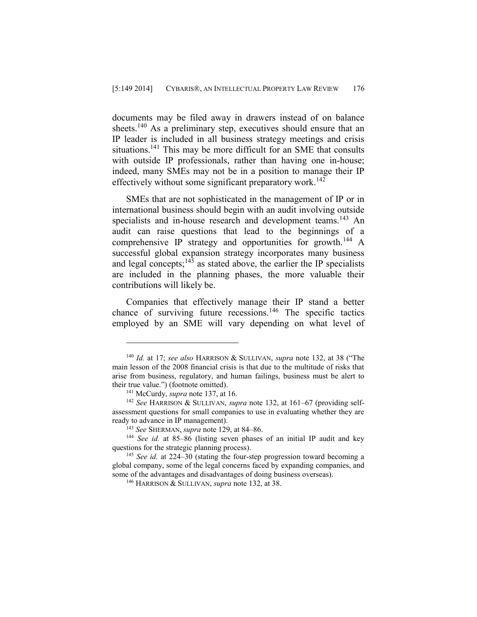documents may be filed away in drawers instead of on balance sheets.<sup>140</sup> As a preliminary step, executives should ensure that an IP leader is included in all business strategy meetings and crisis situations.<sup>141</sup> This may be more difficult for an SME that consults with outside IP professionals, rather than having one in-house; indeed, many SMEs may not be in a position to manage their IP effectively without some significant preparatory work.<sup>142</sup>

SMEs that are not sophisticated in the management of IP or in international business should begin with an audit involving outside specialists and in-house research and development teams.<sup>143</sup> An audit can raise questions that lead to the beginnings of a comprehensive IP strategy and opportunities for growth.<sup>144</sup> A successful global expansion strategy incorporates many business and legal concepts;<sup>145</sup> as stated above, the earlier the IP specialists are included in the planning phases, the more valuable their contributions will likely be.

Companies that effectively manage their IP stand a better chance of surviving future recessions.<sup>146</sup> The specific tactics employed by an SME will vary depending on what level of

<sup>140</sup> *Id.* at 17; *see also* HARRISON & SULLIVAN, *supra* note 132, at 38 ("The main lesson of the 2008 financial crisis is that due to the multitude of risks that arise from business, regulatory, and human failings, business must be alert to their true value.") (footnote omitted).

<sup>141</sup> McCurdy, *supra* note 137, at 16.

<sup>142</sup> *See* HARRISON & SULLIVAN, *supra* note 132, at 161–67 (providing selfassessment questions for small companies to use in evaluating whether they are ready to advance in IP management).

<sup>143</sup> *See* SHERMAN, *supra* note 129, at 84–86.

<sup>144</sup> *See id.* at 85–86 (listing seven phases of an initial IP audit and key questions for the strategic planning process).

<sup>145</sup> *See id.* at 224–30 (stating the four-step progression toward becoming a global company, some of the legal concerns faced by expanding companies, and some of the advantages and disadvantages of doing business overseas).

<sup>146</sup> HARRISON & SULLIVAN, *supra* note 132, at 38.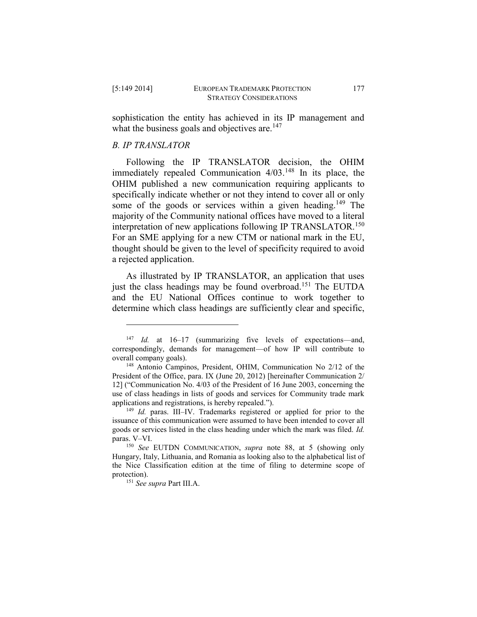$\overline{a}$ 

sophistication the entity has achieved in its IP management and what the business goals and objectives are.<sup>147</sup>

# *B. IP TRANSLATOR*

Following the IP TRANSLATOR decision, the OHIM immediately repealed Communication 4/03.<sup>148</sup> In its place, the OHIM published a new communication requiring applicants to specifically indicate whether or not they intend to cover all or only some of the goods or services within a given heading.<sup>149</sup> The majority of the Community national offices have moved to a literal interpretation of new applications following IP TRANSLATOR.<sup>150</sup> For an SME applying for a new CTM or national mark in the EU, thought should be given to the level of specificity required to avoid a rejected application.

As illustrated by IP TRANSLATOR, an application that uses just the class headings may be found overbroad.<sup>151</sup> The EUTDA and the EU National Offices continue to work together to determine which class headings are sufficiently clear and specific,

<sup>147</sup> *Id.* at 16–17 (summarizing five levels of expectations—and, correspondingly, demands for management—of how IP will contribute to overall company goals).

<sup>148</sup> Antonio Campinos, President, OHIM, Communication No 2/12 of the President of the Office, para. IX (June 20, 2012) [hereinafter Communication 2/ 12] ("Communication No. 4/03 of the President of 16 June 2003, concerning the use of class headings in lists of goods and services for Community trade mark applications and registrations, is hereby repealed.").

<sup>149</sup> *Id.* paras. III–IV. Trademarks registered or applied for prior to the issuance of this communication were assumed to have been intended to cover all goods or services listed in the class heading under which the mark was filed. *Id.* paras. V–VI.

<sup>150</sup> *See* EUTDN COMMUNICATION, *supra* note 88, at 5 (showing only Hungary, Italy, Lithuania, and Romania as looking also to the alphabetical list of the Nice Classification edition at the time of filing to determine scope of protection).

<sup>151</sup> *See supra* Part III.A.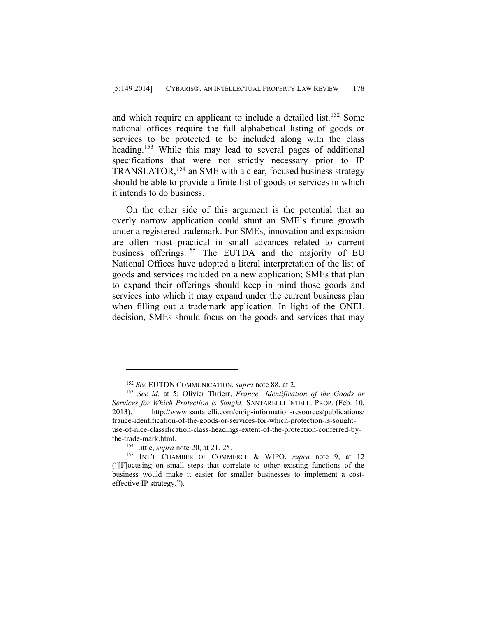and which require an applicant to include a detailed list.<sup>152</sup> Some national offices require the full alphabetical listing of goods or services to be protected to be included along with the class heading.<sup>153</sup> While this may lead to several pages of additional specifications that were not strictly necessary prior to IP TRANSLATOR,<sup>154</sup> an SME with a clear, focused business strategy should be able to provide a finite list of goods or services in which it intends to do business.

On the other side of this argument is the potential that an overly narrow application could stunt an SME's future growth under a registered trademark. For SMEs, innovation and expansion are often most practical in small advances related to current business offerings.<sup>155</sup> The EUTDA and the majority of EU National Offices have adopted a literal interpretation of the list of goods and services included on a new application; SMEs that plan to expand their offerings should keep in mind those goods and services into which it may expand under the current business plan when filling out a trademark application. In light of the ONEL decision, SMEs should focus on the goods and services that may

<sup>152</sup> *See* EUTDN COMMUNICATION, *supra* note 88, at 2.

<sup>153</sup> *See id.* at 5; Olivier Thrierr, *France—Identification of the Goods or Services for Which Protection is Sought,* SANTARELLI INTELL. PROP. (Feb. 10, 2013), http://www.santarelli.com/en/ip-information-resources/publications/ france-identification-of-the-goods-or-services-for-which-protection-is-soughtuse-of-nice-classification-class-headings-extent-of-the-protection-conferred-bythe-trade-mark.html.

<sup>154</sup> Little, *supra* note 20, at 21, 25.

<sup>155</sup> INT'L CHAMBER OF COMMERCE & WIPO, *supra* note 9, at 12 ("[F]ocusing on small steps that correlate to other existing functions of the business would make it easier for smaller businesses to implement a costeffective IP strategy.").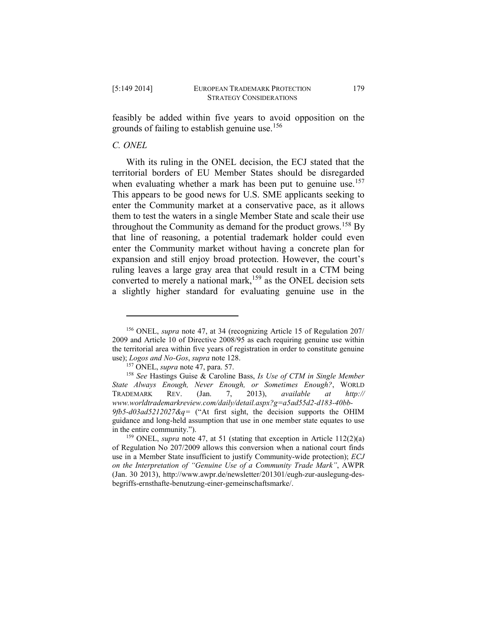feasibly be added within five years to avoid opposition on the grounds of failing to establish genuine use.<sup>156</sup>

# *C. ONEL*

 $\overline{a}$ 

With its ruling in the ONEL decision, the ECJ stated that the territorial borders of EU Member States should be disregarded when evaluating whether a mark has been put to genuine use.<sup>157</sup> This appears to be good news for U.S. SME applicants seeking to enter the Community market at a conservative pace, as it allows them to test the waters in a single Member State and scale their use throughout the Community as demand for the product grows.<sup>158</sup> By that line of reasoning, a potential trademark holder could even enter the Community market without having a concrete plan for expansion and still enjoy broad protection. However, the court's ruling leaves a large gray area that could result in a CTM being converted to merely a national mark,<sup>159</sup> as the ONEL decision sets a slightly higher standard for evaluating genuine use in the

<sup>156</sup> ONEL, *supra* note 47, at 34 (recognizing Article 15 of Regulation 207/ 2009 and Article 10 of Directive 2008/95 as each requiring genuine use within the territorial area within five years of registration in order to constitute genuine use); *Logos and No-Gos*, *supra* note 128.

<sup>157</sup> ONEL, *supra* note 47, para. 57.

<sup>158</sup> *See* Hastings Guise & Caroline Bass, *Is Use of CTM in Single Member State Always Enough, Never Enough, or Sometimes Enough?*, WORLD TRADEMARK REV. (Jan. 7, 2013), *available at http:// www.worldtrademarkreview.com/daily/detail.aspx?g=a5ad55d2-d183-40bb-9fb5-d03ad5212027&q=* ("At first sight, the decision supports the OHIM guidance and long-held assumption that use in one member state equates to use in the entire community.").

<sup>159</sup> ONEL, *supra* note 47, at 51 (stating that exception in Article 112(2)(a) of Regulation No 207/2009 allows this conversion when a national court finds use in a Member State insufficient to justify Community-wide protection); *ECJ on the Interpretation of "Genuine Use of a Community Trade Mark"*, AWPR (Jan. 30 2013), http://www.awpr.de/newsletter/201301/eugh-zur-auslegung-desbegriffs-ernsthafte-benutzung-einer-gemeinschaftsmarke/.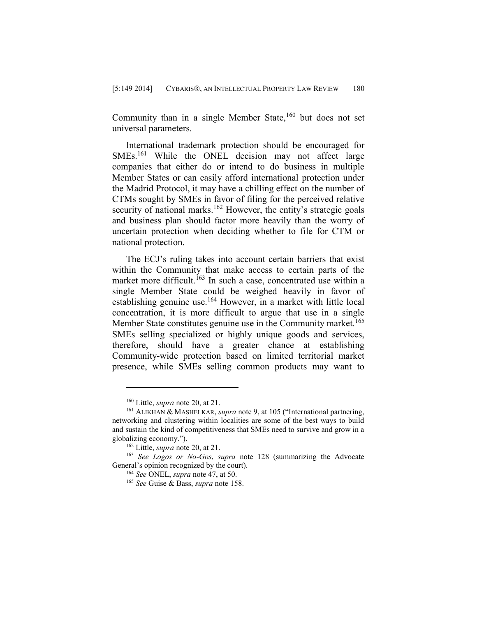Community than in a single Member State,  $160$  but does not set universal parameters.

International trademark protection should be encouraged for SMEs.<sup>161</sup> While the ONEL decision may not affect large companies that either do or intend to do business in multiple Member States or can easily afford international protection under the Madrid Protocol, it may have a chilling effect on the number of CTMs sought by SMEs in favor of filing for the perceived relative security of national marks.<sup>162</sup> However, the entity's strategic goals and business plan should factor more heavily than the worry of uncertain protection when deciding whether to file for CTM or national protection.

The ECJ's ruling takes into account certain barriers that exist within the Community that make access to certain parts of the market more difficult.<sup>163</sup> In such a case, concentrated use within a single Member State could be weighed heavily in favor of establishing genuine use.<sup>164</sup> However, in a market with little local concentration, it is more difficult to argue that use in a single Member State constitutes genuine use in the Community market.<sup>165</sup> SMEs selling specialized or highly unique goods and services, therefore, should have a greater chance at establishing Community-wide protection based on limited territorial market presence, while SMEs selling common products may want to

<sup>160</sup> Little, *supra* note 20, at 21.

<sup>161</sup> ALIKHAN & MASHELKAR, *supra* note 9, at 105 ("International partnering, networking and clustering within localities are some of the best ways to build and sustain the kind of competitiveness that SMEs need to survive and grow in a globalizing economy.").

<sup>162</sup> Little, *supra* note 20, at 21.

<sup>163</sup> *See Logos or No-Gos*, *supra* note 128 (summarizing the Advocate General's opinion recognized by the court).

<sup>164</sup> *See* ONEL, *supra* note 47, at 50.

<sup>165</sup> *See* Guise & Bass, *supra* note 158.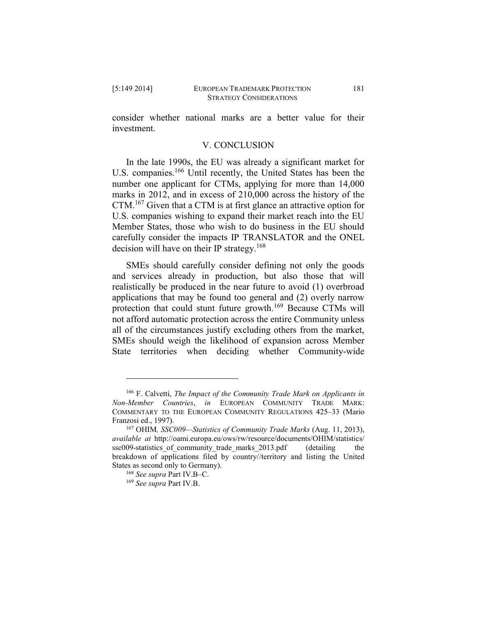consider whether national marks are a better value for their investment.

## V. CONCLUSION

In the late 1990s, the EU was already a significant market for U.S. companies.<sup>166</sup> Until recently, the United States has been the number one applicant for CTMs, applying for more than 14,000 marks in 2012, and in excess of 210,000 across the history of the CTM.<sup>167</sup> Given that a CTM is at first glance an attractive option for U.S. companies wishing to expand their market reach into the EU Member States, those who wish to do business in the EU should carefully consider the impacts IP TRANSLATOR and the ONEL decision will have on their IP strategy.<sup>168</sup>

SMEs should carefully consider defining not only the goods and services already in production, but also those that will realistically be produced in the near future to avoid (1) overbroad applications that may be found too general and (2) overly narrow protection that could stunt future growth.<sup>169</sup> Because CTMs will not afford automatic protection across the entire Community unless all of the circumstances justify excluding others from the market, SMEs should weigh the likelihood of expansion across Member State territories when deciding whether Community-wide

<sup>166</sup> F. Calvetti, *The Impact of the Community Trade Mark on Applicants in Non-Member Countries*, *in* EUROPEAN COMMUNITY TRADE MARK: COMMENTARY TO THE EUROPEAN COMMUNITY REGULATIONS 425–33 (Mario Franzosi ed., 1997).

<sup>167</sup> OHIM*, SSC009—Statistics of Community Trade Marks* (Aug. 11, 2013), *available at* [http://oami.europa.eu/o](http://oami.europa.eu/)ws/rw/resource/documents/OHIM/statistics/ ssc009-statistics of community trade marks 2013.pdf (detailing the breakdown of applications filed by country//territory and listing the United States as second only to Germany).

<sup>168</sup> *See supra* Part IV.B–C.

<sup>169</sup> *See supra* Part IV.B.